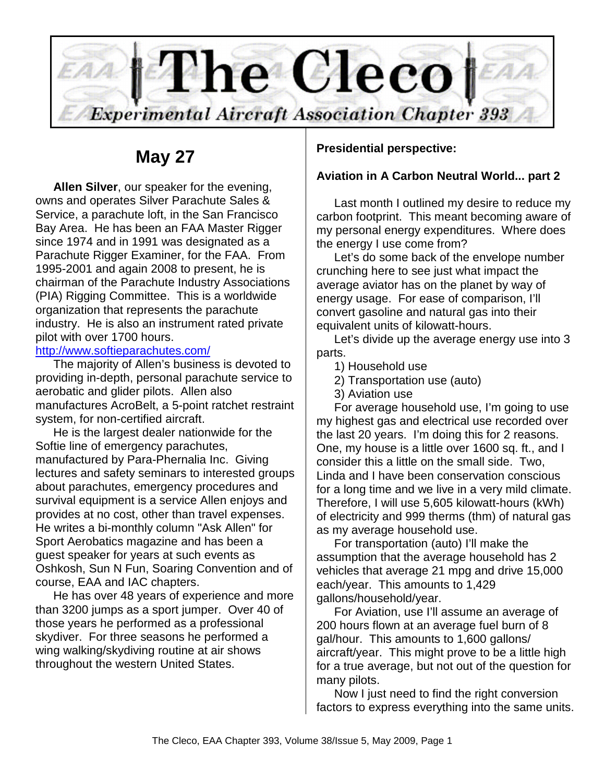

# **May 27**

**Allen Silver**, our speaker for the evening, owns and operates Silver Parachute Sales & Service, a parachute loft, in the San Francisco Bay Area. He has been an FAA Master Rigger since 1974 and in 1991 was designated as a Parachute Rigger Examiner, for the FAA. From 1995-2001 and again 2008 to present, he is chairman of the Parachute Industry Associations (PIA) Rigging Committee. This is a worldwide organization that represents the parachute industry. He is also an instrument rated private pilot with over 1700 hours.

#### http://www.softieparachutes.com/

The majority of Allen's business is devoted to providing in-depth, personal parachute service to aerobatic and glider pilots. Allen also manufactures AcroBelt, a 5-point ratchet restraint system, for non-certified aircraft.

He is the largest dealer nationwide for the Softie line of emergency parachutes, manufactured by Para-Phernalia Inc. Giving lectures and safety seminars to interested groups about parachutes, emergency procedures and survival equipment is a service Allen enjoys and provides at no cost, other than travel expenses. He writes a bi-monthly column "Ask Allen" for Sport Aerobatics magazine and has been a guest speaker for years at such events as Oshkosh, Sun N Fun, Soaring Convention and of course, EAA and IAC chapters.

He has over 48 years of experience and more than 3200 jumps as a sport jumper. Over 40 of those years he performed as a professional skydiver. For three seasons he performed a wing walking/skydiving routine at air shows throughout the western United States.

## **Presidential perspective:**

## **Aviation in A Carbon Neutral World... part 2**

Last month I outlined my desire to reduce my carbon footprint. This meant becoming aware of my personal energy expenditures. Where does the energy I use come from?

Let's do some back of the envelope number crunching here to see just what impact the average aviator has on the planet by way of energy usage. For ease of comparison, I'll convert gasoline and natural gas into their equivalent units of kilowatt-hours.

Let's divide up the average energy use into 3 parts.

- 1) Household use
- 2) Transportation use (auto)
- 3) Aviation use

For average household use, I'm going to use my highest gas and electrical use recorded over the last 20 years. I'm doing this for 2 reasons. One, my house is a little over 1600 sq. ft., and I consider this a little on the small side. Two, Linda and I have been conservation conscious for a long time and we live in a very mild climate. Therefore, I will use 5,605 kilowatt-hours (kWh) of electricity and 999 therms (thm) of natural gas as my average household use.

For transportation (auto) I'll make the assumption that the average household has 2 vehicles that average 21 mpg and drive 15,000 each/year. This amounts to 1,429 gallons/household/year.

For Aviation, use I'll assume an average of 200 hours flown at an average fuel burn of 8 gal/hour. This amounts to 1,600 gallons/ aircraft/year. This might prove to be a little high for a true average, but not out of the question for many pilots.

Now I just need to find the right conversion factors to express everything into the same units.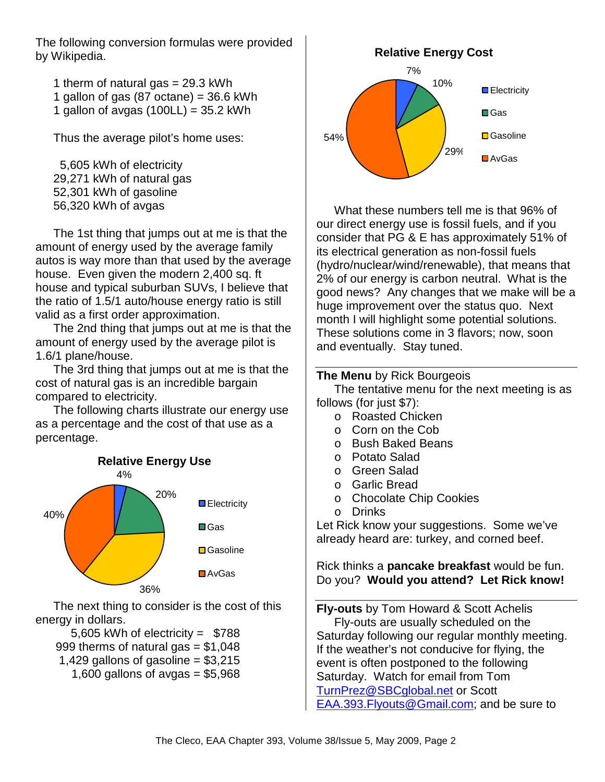The following conversion formulas were provided by Wikipedia.

1 therm of natural gas  $= 29.3$  kWh

- 1 gallon of gas  $(87 \text{ octane}) = 36.6 \text{ kWh}$
- 1 gallon of avgas  $(100LL) = 35.2$  kWh

Thus the average pilot's home uses:

 5,605 kWh of electricity 29,271 kWh of natural gas 52,301 kWh of gasoline 56,320 kWh of avgas

The 1st thing that jumps out at me is that the amount of energy used by the average family autos is way more than that used by the average house. Even given the modern 2,400 sq. ft house and typical suburban SUVs, I believe that the ratio of 1.5/1 auto/house energy ratio is still valid as a first order approximation.

The 2nd thing that jumps out at me is that the amount of energy used by the average pilot is 1.6/1 plane/house.

The 3rd thing that jumps out at me is that the cost of natural gas is an incredible bargain compared to electricity.

The following charts illustrate our energy use as a percentage and the cost of that use as a percentage.



The next thing to consider is the cost of this energy in dollars.

 5,605 kWh of electricity = \$788 999 therms of natural gas  $= $1,048$ 1,429 gallons of gasoline =  $$3,215$ 1,600 gallons of avgas =  $$5,968$ 



What these numbers tell me is that 96% of our direct energy use is fossil fuels, and if you consider that PG & E has approximately 51% of its electrical generation as non-fossil fuels (hydro/nuclear/wind/renewable), that means that 2% of our energy is carbon neutral. What is the good news? Any changes that we make will be a huge improvement over the status quo. Next month I will highlight some potential solutions. These solutions come in 3 flavors; now, soon and eventually. Stay tuned.

## **The Menu** by Rick Bourgeois

The tentative menu for the next meeting is as follows (for just \$7):

- o Roasted Chicken
- o Corn on the Cob
- o Bush Baked Beans
- o Potato Salad
- o Green Salad
- o Garlic Bread
- o Chocolate Chip Cookies
- o Drinks

Let Rick know your suggestions. Some we've already heard are: turkey, and corned beef.

Rick thinks a **pancake breakfast** would be fun. Do you? **Would you attend? Let Rick know!** 

**Fly-outs** by Tom Howard & Scott Achelis Fly-outs are usually scheduled on the Saturday following our regular monthly meeting. If the weather's not conducive for flying, the event is often postponed to the following Saturday. Watch for email from Tom TurnPrez@SBCglobal.net or Scott EAA.393.Flyouts@Gmail.com; and be sure to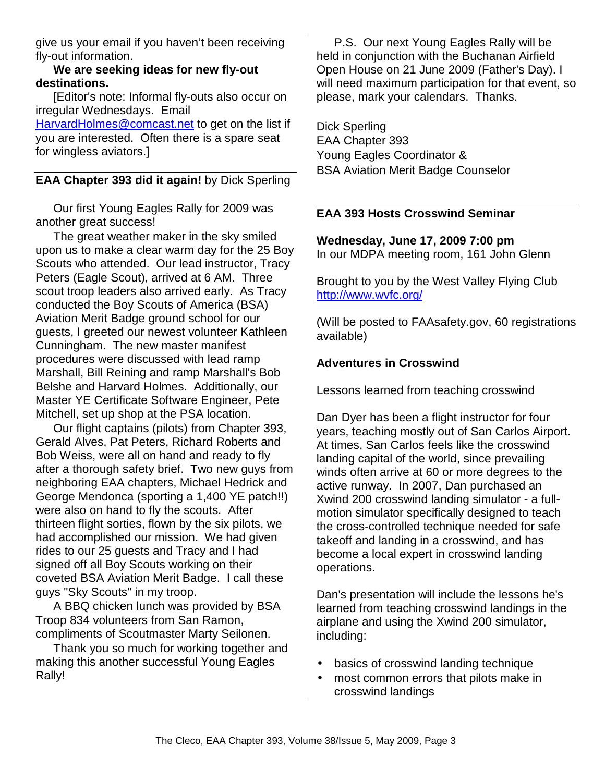give us your email if you haven't been receiving fly-out information.

**We are seeking ideas for new fly-out destinations.** 

[Editor's note: Informal fly-outs also occur on irregular Wednesdays. Email

HarvardHolmes@comcast.net to get on the list if you are interested. Often there is a spare seat for wingless aviators.]

## **EAA Chapter 393 did it again!** by Dick Sperling

Our first Young Eagles Rally for 2009 was another great success!

The great weather maker in the sky smiled upon us to make a clear warm day for the 25 Boy Scouts who attended. Our lead instructor, Tracy Peters (Eagle Scout), arrived at 6 AM. Three scout troop leaders also arrived early. As Tracy conducted the Boy Scouts of America (BSA) Aviation Merit Badge ground school for our guests, I greeted our newest volunteer Kathleen Cunningham. The new master manifest procedures were discussed with lead ramp Marshall, Bill Reining and ramp Marshall's Bob Belshe and Harvard Holmes. Additionally, our Master YE Certificate Software Engineer, Pete Mitchell, set up shop at the PSA location.

Our flight captains (pilots) from Chapter 393, Gerald Alves, Pat Peters, Richard Roberts and Bob Weiss, were all on hand and ready to fly after a thorough safety brief. Two new guys from neighboring EAA chapters, Michael Hedrick and George Mendonca (sporting a 1,400 YE patch!!) were also on hand to fly the scouts. After thirteen flight sorties, flown by the six pilots, we had accomplished our mission. We had given rides to our 25 guests and Tracy and I had signed off all Boy Scouts working on their coveted BSA Aviation Merit Badge. I call these guys "Sky Scouts" in my troop.

A BBQ chicken lunch was provided by BSA Troop 834 volunteers from San Ramon, compliments of Scoutmaster Marty Seilonen.

Thank you so much for working together and making this another successful Young Eagles Rally!

P.S. Our next Young Eagles Rally will be held in conjunction with the Buchanan Airfield Open House on 21 June 2009 (Father's Day). I will need maximum participation for that event, so please, mark your calendars. Thanks.

Dick Sperling EAA Chapter 393 Young Eagles Coordinator & BSA Aviation Merit Badge Counselor

## **EAA 393 Hosts Crosswind Seminar**

**Wednesday, June 17, 2009 7:00 pm** In our MDPA meeting room, 161 John Glenn

Brought to you by the West Valley Flying Club http://www.wvfc.org/

(Will be posted to FAAsafety.gov, 60 registrations available)

## **Adventures in Crosswind**

Lessons learned from teaching crosswind

Dan Dyer has been a flight instructor for four years, teaching mostly out of San Carlos Airport. At times, San Carlos feels like the crosswind landing capital of the world, since prevailing winds often arrive at 60 or more degrees to the active runway. In 2007, Dan purchased an Xwind 200 crosswind landing simulator - a fullmotion simulator specifically designed to teach the cross-controlled technique needed for safe takeoff and landing in a crosswind, and has become a local expert in crosswind landing operations.

Dan's presentation will include the lessons he's learned from teaching crosswind landings in the airplane and using the Xwind 200 simulator, including:

- basics of crosswind landing technique
- most common errors that pilots make in crosswind landings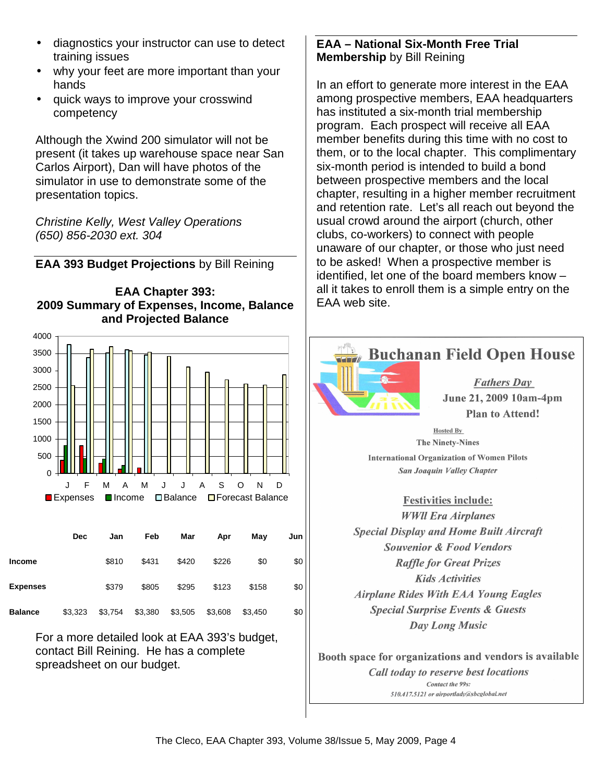- diagnostics your instructor can use to detect training issues
- why your feet are more important than your hands
- quick ways to improve your crosswind competency

Although the Xwind 200 simulator will not be present (it takes up warehouse space near San Carlos Airport), Dan will have photos of the simulator in use to demonstrate some of the presentation topics.

Christine Kelly, West Valley Operations (650) 856-2030 ext. 304

**EAA 393 Budget Projections** by Bill Reining





|                 | <b>Dec</b> | Jan     | Feb     | Mar     | Apr     | May     | Jun |
|-----------------|------------|---------|---------|---------|---------|---------|-----|
| <b>Income</b>   |            | \$810   | \$431   | \$420   | \$226   | \$0     | \$0 |
| <b>Expenses</b> |            | \$379   | \$805   | \$295   | \$123   | \$158   | \$0 |
| <b>Balance</b>  | \$3,323    | \$3,754 | \$3,380 | \$3,505 | \$3,608 | \$3,450 | \$0 |

For a more detailed look at EAA 393's budget, contact Bill Reining. He has a complete spreadsheet on our budget.

## **EAA – National Six-Month Free Trial Membership** by Bill Reining

In an effort to generate more interest in the EAA among prospective members, EAA headquarters has instituted a six-month trial membership program. Each prospect will receive all EAA member benefits during this time with no cost to them, or to the local chapter. This complimentary six-month period is intended to build a bond between prospective members and the local chapter, resulting in a higher member recruitment and retention rate. Let's all reach out beyond the usual crowd around the airport (church, other clubs, co-workers) to connect with people unaware of our chapter, or those who just need to be asked! When a prospective member is identified, let one of the board members know – all it takes to enroll them is a simple entry on the EAA web site.



**The Ninety-Nines International Organization of Women Pilots** San Joaquin Valley Chapter

**Festivities include: WWII** Era Airplanes **Special Display and Home Built Aircraft Souvenior & Food Vendors Raffle for Great Prizes Kids Activities Airplane Rides With EAA Young Eagles Special Surprise Events & Guests Day Long Music** 

Booth space for organizations and vendors is available Call today to reserve best locations Contact the 99s: 510.417.5121 or airportlady@sbcglobal.net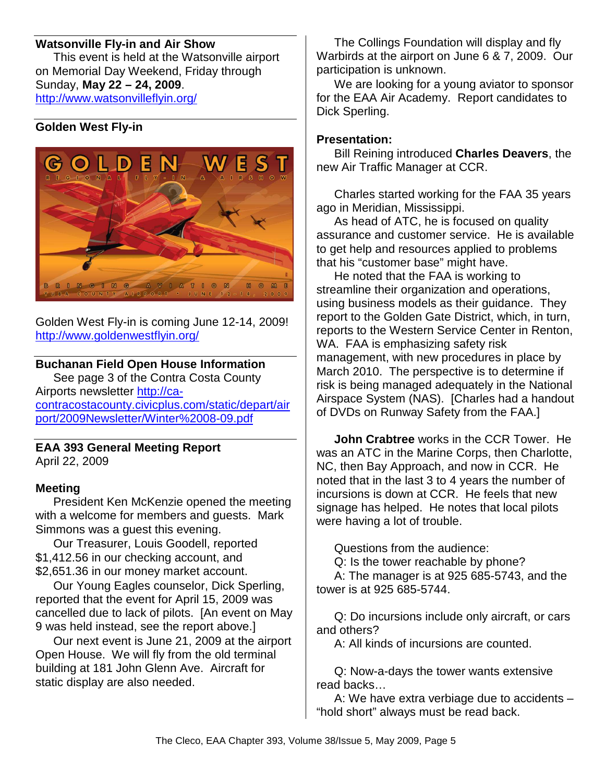## **Watsonville Fly-in and Air Show**

This event is held at the Watsonville airport on Memorial Day Weekend, Friday through Sunday, **May 22 – 24, 2009**. http://www.watsonvilleflyin.org/

## **Golden West Fly-in**



Golden West Fly-in is coming June 12-14, 2009! http://www.goldenwestflyin.org/

## **Buchanan Field Open House Information**

See page 3 of the Contra Costa County Airports newsletter http://cacontracostacounty.civicplus.com/static/depart/air port/2009Newsletter/Winter%2008-09.pdf

#### **EAA 393 General Meeting Report**  April 22, 2009

## **Meeting**

President Ken McKenzie opened the meeting with a welcome for members and guests. Mark Simmons was a guest this evening.

Our Treasurer, Louis Goodell, reported \$1,412.56 in our checking account, and \$2,651.36 in our money market account.

Our Young Eagles counselor, Dick Sperling, reported that the event for April 15, 2009 was cancelled due to lack of pilots. [An event on May 9 was held instead, see the report above.]

Our next event is June 21, 2009 at the airport Open House. We will fly from the old terminal building at 181 John Glenn Ave. Aircraft for static display are also needed.

The Collings Foundation will display and fly Warbirds at the airport on June 6 & 7, 2009. Our participation is unknown.

We are looking for a young aviator to sponsor for the EAA Air Academy. Report candidates to Dick Sperling.

## **Presentation:**

Bill Reining introduced **Charles Deavers**, the new Air Traffic Manager at CCR.

Charles started working for the FAA 35 years ago in Meridian, Mississippi.

As head of ATC, he is focused on quality assurance and customer service. He is available to get help and resources applied to problems that his "customer base" might have.

He noted that the FAA is working to streamline their organization and operations, using business models as their guidance. They report to the Golden Gate District, which, in turn, reports to the Western Service Center in Renton, WA. FAA is emphasizing safety risk management, with new procedures in place by March 2010. The perspective is to determine if risk is being managed adequately in the National Airspace System (NAS). [Charles had a handout of DVDs on Runway Safety from the FAA.]

**John Crabtree** works in the CCR Tower. He was an ATC in the Marine Corps, then Charlotte, NC, then Bay Approach, and now in CCR. He noted that in the last 3 to 4 years the number of incursions is down at CCR. He feels that new signage has helped. He notes that local pilots were having a lot of trouble.

Questions from the audience:

Q: Is the tower reachable by phone?

A: The manager is at 925 685-5743, and the tower is at 925 685-5744.

Q: Do incursions include only aircraft, or cars and others?

A: All kinds of incursions are counted.

Q: Now-a-days the tower wants extensive read backs…

A: We have extra verbiage due to accidents – "hold short" always must be read back.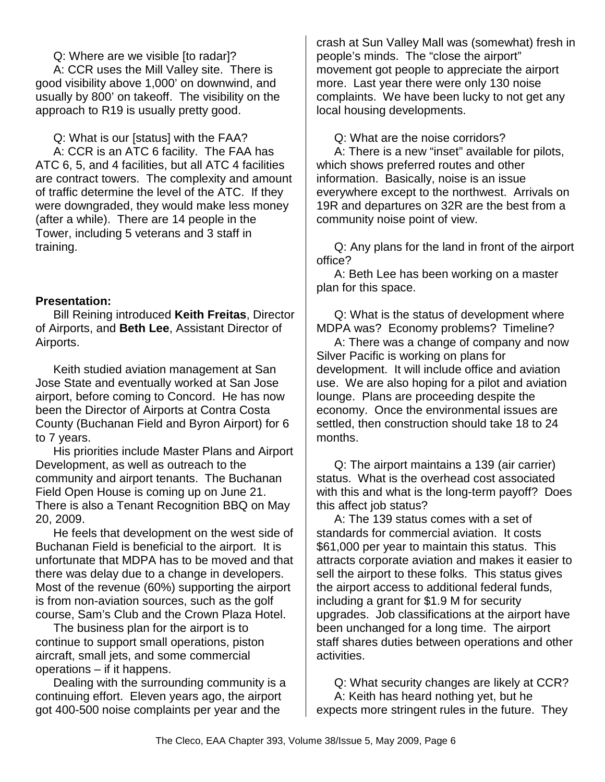Q: Where are we visible [to radar]?

A: CCR uses the Mill Valley site. There is good visibility above 1,000' on downwind, and usually by 800' on takeoff. The visibility on the approach to R19 is usually pretty good.

Q: What is our [status] with the FAA?

A: CCR is an ATC 6 facility. The FAA has ATC 6, 5, and 4 facilities, but all ATC 4 facilities are contract towers. The complexity and amount of traffic determine the level of the ATC. If they were downgraded, they would make less money (after a while). There are 14 people in the Tower, including 5 veterans and 3 staff in training.

## **Presentation:**

Bill Reining introduced **Keith Freitas**, Director of Airports, and **Beth Lee**, Assistant Director of Airports.

Keith studied aviation management at San Jose State and eventually worked at San Jose airport, before coming to Concord. He has now been the Director of Airports at Contra Costa County (Buchanan Field and Byron Airport) for 6 to 7 years.

His priorities include Master Plans and Airport Development, as well as outreach to the community and airport tenants. The Buchanan Field Open House is coming up on June 21. There is also a Tenant Recognition BBQ on May 20, 2009.

He feels that development on the west side of Buchanan Field is beneficial to the airport. It is unfortunate that MDPA has to be moved and that there was delay due to a change in developers. Most of the revenue (60%) supporting the airport is from non-aviation sources, such as the golf course, Sam's Club and the Crown Plaza Hotel.

The business plan for the airport is to continue to support small operations, piston aircraft, small jets, and some commercial operations – if it happens.

Dealing with the surrounding community is a continuing effort. Eleven years ago, the airport got 400-500 noise complaints per year and the

crash at Sun Valley Mall was (somewhat) fresh in people's minds. The "close the airport" movement got people to appreciate the airport more. Last year there were only 130 noise complaints. We have been lucky to not get any local housing developments.

Q: What are the noise corridors?

A: There is a new "inset" available for pilots, which shows preferred routes and other information. Basically, noise is an issue everywhere except to the northwest. Arrivals on 19R and departures on 32R are the best from a community noise point of view.

Q: Any plans for the land in front of the airport office?

A: Beth Lee has been working on a master plan for this space.

Q: What is the status of development where MDPA was? Economy problems? Timeline?

A: There was a change of company and now Silver Pacific is working on plans for development. It will include office and aviation use. We are also hoping for a pilot and aviation lounge. Plans are proceeding despite the economy. Once the environmental issues are settled, then construction should take 18 to 24 months.

Q: The airport maintains a 139 (air carrier) status. What is the overhead cost associated with this and what is the long-term payoff? Does this affect job status?

A: The 139 status comes with a set of standards for commercial aviation. It costs \$61,000 per year to maintain this status. This attracts corporate aviation and makes it easier to sell the airport to these folks. This status gives the airport access to additional federal funds, including a grant for \$1.9 M for security upgrades. Job classifications at the airport have been unchanged for a long time. The airport staff shares duties between operations and other activities.

Q: What security changes are likely at CCR? A: Keith has heard nothing yet, but he expects more stringent rules in the future. They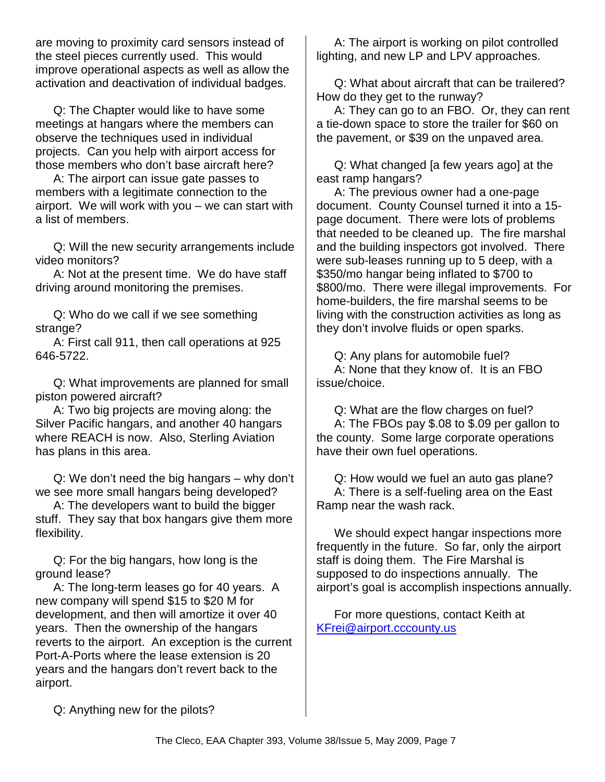are moving to proximity card sensors instead of the steel pieces currently used. This would improve operational aspects as well as allow the activation and deactivation of individual badges.

Q: The Chapter would like to have some meetings at hangars where the members can observe the techniques used in individual projects. Can you help with airport access for those members who don't base aircraft here?

A: The airport can issue gate passes to members with a legitimate connection to the airport. We will work with you – we can start with a list of members.

Q: Will the new security arrangements include video monitors?

A: Not at the present time. We do have staff driving around monitoring the premises.

Q: Who do we call if we see something strange?

A: First call 911, then call operations at 925 646-5722.

Q: What improvements are planned for small piston powered aircraft?

A: Two big projects are moving along: the Silver Pacific hangars, and another 40 hangars where REACH is now. Also, Sterling Aviation has plans in this area.

Q: We don't need the big hangars – why don't we see more small hangars being developed?

A: The developers want to build the bigger stuff. They say that box hangars give them more flexibility.

Q: For the big hangars, how long is the ground lease?

A: The long-term leases go for 40 years. A new company will spend \$15 to \$20 M for development, and then will amortize it over 40 years. Then the ownership of the hangars reverts to the airport. An exception is the current Port-A-Ports where the lease extension is 20 years and the hangars don't revert back to the airport.

A: The airport is working on pilot controlled lighting, and new LP and LPV approaches.

Q: What about aircraft that can be trailered? How do they get to the runway?

A: They can go to an FBO. Or, they can rent a tie-down space to store the trailer for \$60 on the pavement, or \$39 on the unpaved area.

Q: What changed [a few years ago] at the east ramp hangars?

A: The previous owner had a one-page document. County Counsel turned it into a 15 page document. There were lots of problems that needed to be cleaned up. The fire marshal and the building inspectors got involved. There were sub-leases running up to 5 deep, with a \$350/mo hangar being inflated to \$700 to \$800/mo. There were illegal improvements. For home-builders, the fire marshal seems to be living with the construction activities as long as they don't involve fluids or open sparks.

Q: Any plans for automobile fuel? A: None that they know of. It is an FBO issue/choice.

Q: What are the flow charges on fuel? A: The FBOs pay \$.08 to \$.09 per gallon to the county. Some large corporate operations have their own fuel operations.

Q: How would we fuel an auto gas plane? A: There is a self-fueling area on the East Ramp near the wash rack.

We should expect hangar inspections more frequently in the future. So far, only the airport staff is doing them. The Fire Marshal is supposed to do inspections annually. The airport's goal is accomplish inspections annually.

For more questions, contact Keith at KFrei@airport.cccounty.us

Q: Anything new for the pilots?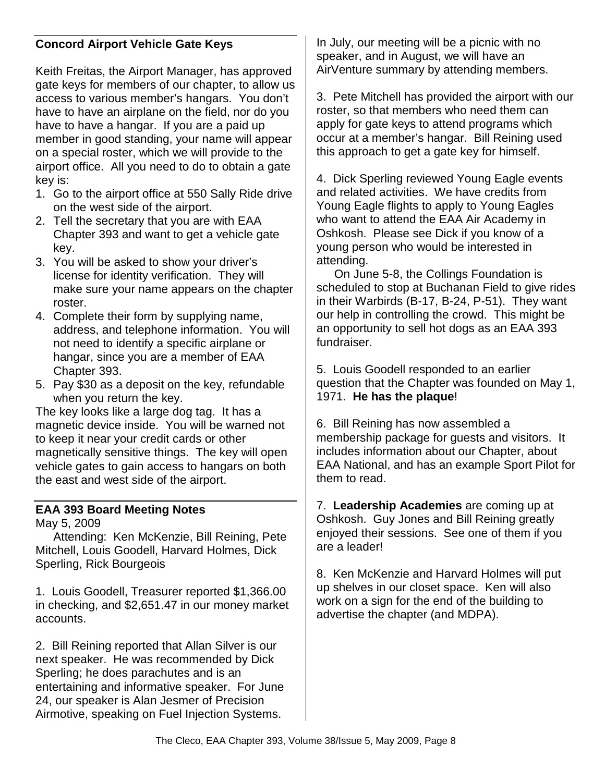## **Concord Airport Vehicle Gate Keys**

Keith Freitas, the Airport Manager, has approved gate keys for members of our chapter, to allow us access to various member's hangars. You don't have to have an airplane on the field, nor do you have to have a hangar. If you are a paid up member in good standing, your name will appear on a special roster, which we will provide to the airport office. All you need to do to obtain a gate key is:

- 1. Go to the airport office at 550 Sally Ride drive on the west side of the airport.
- 2. Tell the secretary that you are with EAA Chapter 393 and want to get a vehicle gate key.
- 3. You will be asked to show your driver's license for identity verification. They will make sure your name appears on the chapter roster.
- 4. Complete their form by supplying name, address, and telephone information. You will not need to identify a specific airplane or hangar, since you are a member of EAA Chapter 393.
- 5. Pay \$30 as a deposit on the key, refundable when you return the key.

The key looks like a large dog tag. It has a magnetic device inside. You will be warned not to keep it near your credit cards or other magnetically sensitive things. The key will open vehicle gates to gain access to hangars on both the east and west side of the airport.

## **EAA 393 Board Meeting Notes**

May 5, 2009

Attending: Ken McKenzie, Bill Reining, Pete Mitchell, Louis Goodell, Harvard Holmes, Dick Sperling, Rick Bourgeois

1. Louis Goodell, Treasurer reported \$1,366.00 in checking, and \$2,651.47 in our money market accounts.

2. Bill Reining reported that Allan Silver is our next speaker. He was recommended by Dick Sperling; he does parachutes and is an entertaining and informative speaker. For June 24, our speaker is Alan Jesmer of Precision Airmotive, speaking on Fuel Injection Systems.

In July, our meeting will be a picnic with no speaker, and in August, we will have an AirVenture summary by attending members.

3. Pete Mitchell has provided the airport with our roster, so that members who need them can apply for gate keys to attend programs which occur at a member's hangar. Bill Reining used this approach to get a gate key for himself.

4. Dick Sperling reviewed Young Eagle events and related activities. We have credits from Young Eagle flights to apply to Young Eagles who want to attend the EAA Air Academy in Oshkosh. Please see Dick if you know of a young person who would be interested in attending.

On June 5-8, the Collings Foundation is scheduled to stop at Buchanan Field to give rides in their Warbirds (B-17, B-24, P-51). They want our help in controlling the crowd. This might be an opportunity to sell hot dogs as an EAA 393 fundraiser.

5. Louis Goodell responded to an earlier question that the Chapter was founded on May 1, 1971. **He has the plaque**!

6. Bill Reining has now assembled a membership package for guests and visitors. It includes information about our Chapter, about EAA National, and has an example Sport Pilot for them to read.

7. **Leadership Academies** are coming up at Oshkosh. Guy Jones and Bill Reining greatly enjoyed their sessions. See one of them if you are a leader!

8. Ken McKenzie and Harvard Holmes will put up shelves in our closet space. Ken will also work on a sign for the end of the building to advertise the chapter (and MDPA).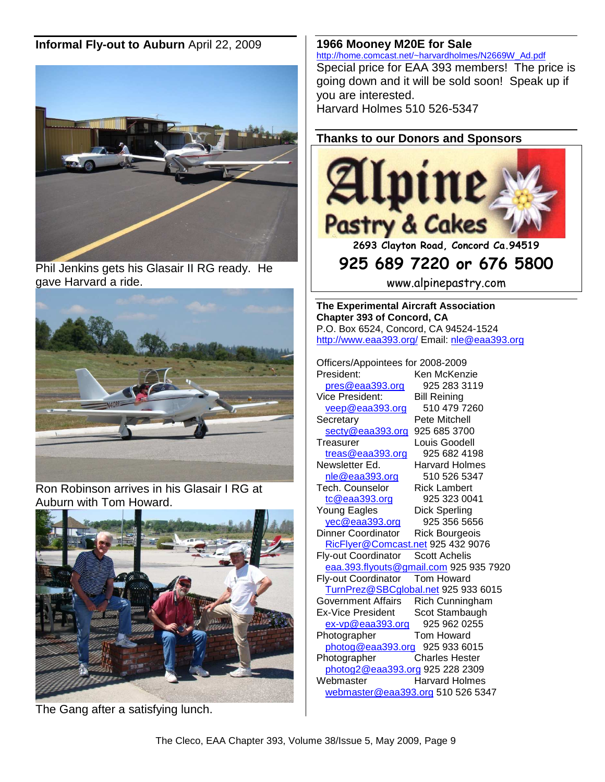## **Informal Fly-out to Auburn** April 22, 2009



Phil Jenkins gets his Glasair II RG ready. He gave Harvard a ride.



Ron Robinson arrives in his Glasair I RG at Auburn with Tom Howard.



The Gang after a satisfying lunch.

#### **1966 Mooney M20E for Sale**

http://home.comcast.net/~harvardholmes/N2669W\_Ad.pdf Special price for EAA 393 members! The price is going down and it will be sold soon! Speak up if you are interested. Harvard Holmes 510 526-5347

## **Thanks to our Donors and Sponsors**



**2693 Clayton Road, Concord Ca.94519** 

## **925 689 7220 or 676 5800**

www.alpinepastry.com

**The Experimental Aircraft Association Chapter 393 of Concord, CA**  P.O. Box 6524, Concord, CA 94524-1524 http://www.eaa393.org/ Email: nle@eaa393.org

Officers/Appointees for 2008-2009 Ken McKenzie

pres@eaa393.org 925 283 3119 Vice President: Bill Reining veep@eaa393.org 510 479 7260 Secretary **Pete Mitchell** secty@eaa393.org 925 685 3700 Treasurer Louis Goodell  $t$ reas@eaa $393.$ org 925 682 4198 Newsletter Ed. Harvard Holmes nle@eaa393.org 510 526 5347 Tech. Counselor Rick Lambert tc@eaa393.org 925 323 0041 Young Eagles Dick Sperling yec@eaa393.org 925 356 5656 Dinner Coordinator Rick Bourgeois RicFlyer@Comcast.net 925 432 9076 Fly-out Coordinator Scott Achelis eaa.393.flyouts@gmail.com 925 935 7920 Fly-out Coordinator Tom Howard TurnPrez@SBCglobal.net 925 933 6015 Government Affairs Rich Cunningham Ex-Vice President Scot Stambaugh ex-vp@eaa393.org 925 962 0255 Photographer Tom Howard photog@eaa393.org 925 933 6015 Photographer Charles Hester photog2@eaa393.org 925 228 2309 Webmaster Harvard Holmes webmaster@eaa393.org 510 526 5347